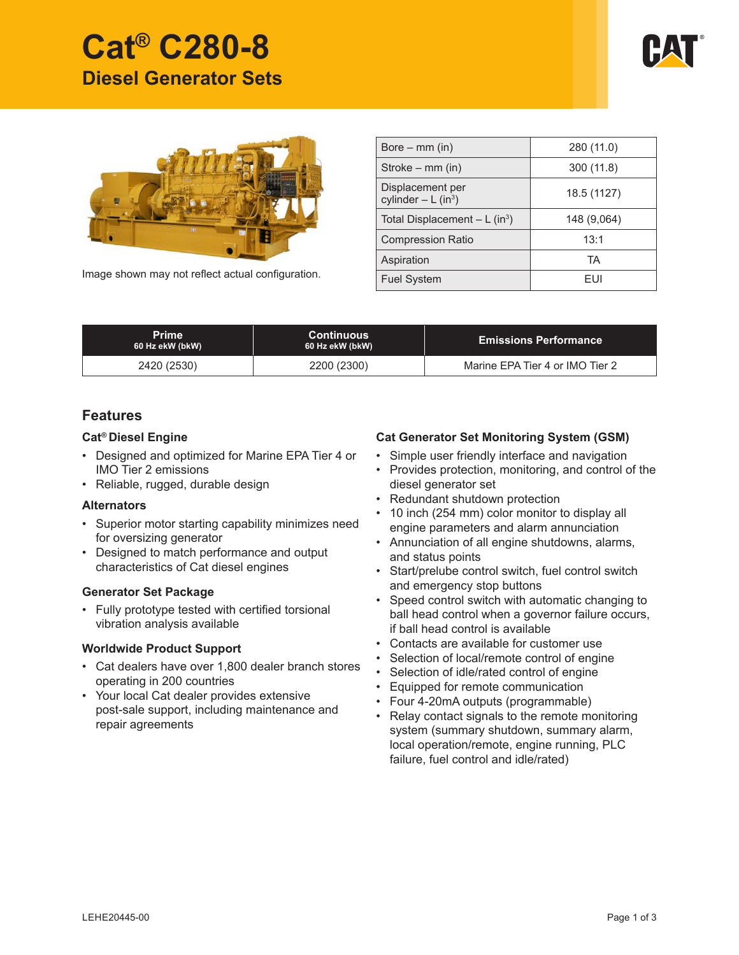



Image shown may not reflect actual configuration.

| Bore $-$ mm (in)                         | 280 (11.0)  |
|------------------------------------------|-------------|
| Stroke – $mm$ (in)                       | 300 (11.8)  |
| Displacement per<br>cylinder $- L (in3)$ | 18.5 (1127) |
| Total Displacement $- L (in3)$           | 148 (9,064) |
| <b>Compression Ratio</b>                 | 13:1        |
| Aspiration                               | TA          |
| <b>Fuel System</b>                       | FUI         |

| <b>Prime</b><br>60 Hz ekW (bkW) | <b>Continuous</b><br>60 Hz ekW (bkW) | <b>Emissions Performance</b>    |
|---------------------------------|--------------------------------------|---------------------------------|
| 2420 (2530)                     | 2200 (2300)                          | Marine EPA Tier 4 or IMO Tier 2 |

# **Features**

## **Cat® Diesel Engine**

- Designed and optimized for Marine EPA Tier 4 or IMO Tier 2 emissions
- Reliable, rugged, durable design

## **Alternators**

- Superior motor starting capability minimizes need for oversizing generator
- Designed to match performance and output characteristics of Cat diesel engines

#### **Generator Set Package**

• Fully prototype tested with certified torsional vibration analysis available

## **Worldwide Product Support**

- Cat dealers have over 1,800 dealer branch stores operating in 200 countries
- Your local Cat dealer provides extensive post-sale support, including maintenance and repair agreements

## **Cat Generator Set Monitoring System (GSM)**

- Simple user friendly interface and navigation
- Provides protection, monitoring, and control of the diesel generator set
- Redundant shutdown protection
- 10 inch (254 mm) color monitor to display all engine parameters and alarm annunciation
- Annunciation of all engine shutdowns, alarms, and status points
- Start/prelube control switch, fuel control switch and emergency stop buttons
- Speed control switch with automatic changing to ball head control when a governor failure occurs, if ball head control is available
- Contacts are available for customer use
- Selection of local/remote control of engine
- Selection of idle/rated control of engine
- Equipped for remote communication
- Four 4-20mA outputs (programmable)
- Relay contact signals to the remote monitoring system (summary shutdown, summary alarm, local operation/remote, engine running, PLC failure, fuel control and idle/rated)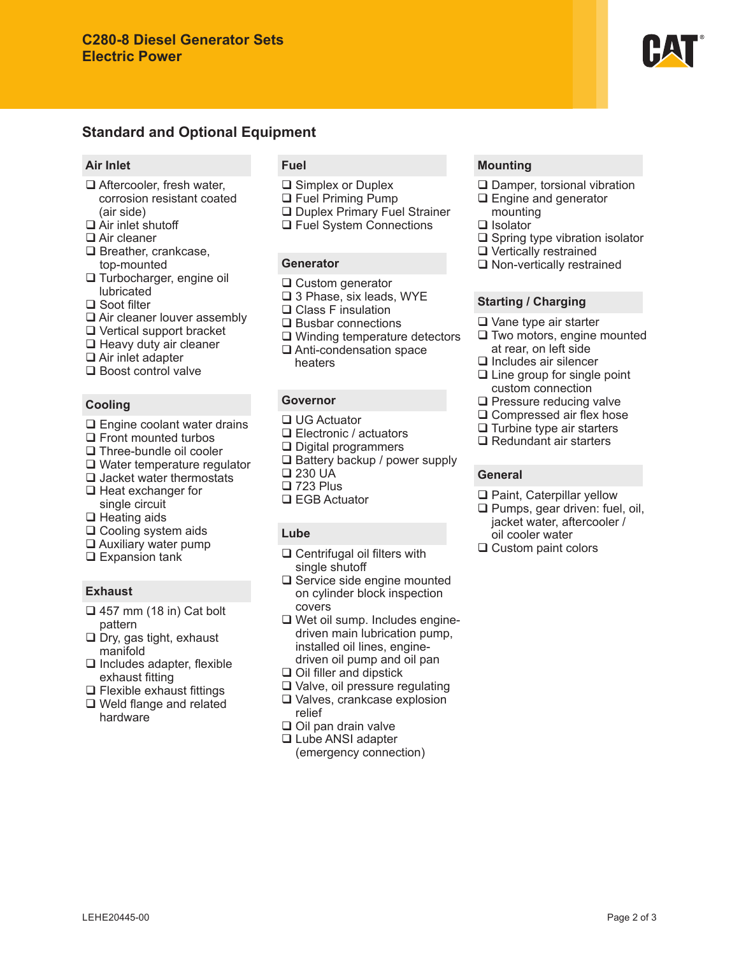# **Standard and Optional Equipment**

### **Air Inlet**

- □ Aftercooler, fresh water, corrosion resistant coated (air side)
- □ Air inlet shutoff
- □ Air cleaner
- □ Breather, crankcase, top-mounted
- □ Turbocharger, engine oil lubricated
- □ Soot filter
- □ Air cleaner louver assembly
- Vertical support bracket
- $\Box$  Heavy duty air cleaner
- $\Box$  Air inlet adapter
- □ Boost control valve

## **Cooling**

- □ Engine coolant water drains
- $\Box$  Front mounted turbos
- □ Three-bundle oil cooler
- □ Water temperature regulator
- $\Box$  Jacket water thermostats  $\Box$  Heat exchanger for
- single circuit  $\Box$  Heating aids
- $\square$  Cooling system aids
- $\Box$  Auxiliary water pump
- □ Expansion tank

# **Exhaust**

- $\Box$  457 mm (18 in) Cat bolt pattern
- $\Box$  Dry, gas tight, exhaust manifold
- $\Box$  Includes adapter, flexible exhaust fitting
- $\Box$  Flexible exhaust fittings
- □ Weld flange and related hardware

# **Fuel**

- **□** Simplex or Duplex
- □ Fuel Priming Pump
- D Duplex Primary Fuel Strainer
- □ Fuel System Connections

## **Generator**

- **□** Custom generator
- □ 3 Phase, six leads, WYE
- □ Class F insulation
- $\square$  Busbar connections
- □ Winding temperature detectors
- □ Anti-condensation space heaters

# **Governor**

- □ UG Actuator
- □ Electronic / actuators
- □ Digital programmers
- $\square$  Battery backup / power supply
- □ 230 UA
- □ 723 Plus
- □ EGB Actuator

## **Lube**

- □ Centrifugal oil filters with single shutoff
- □ Service side engine mounted on cylinder block inspection covers
- □ Wet oil sump. Includes enginedriven main lubrication pump, installed oil lines, enginedriven oil pump and oil pan
- $\Box$  Oil filler and dipstick
- Valve, oil pressure regulating □ Valves, crankcase explosion
	- relief
- $\Box$  Oil pan drain valve
- □ Lube ANSI adapter
- (emergency connection)

# **Mounting**

- □ Damper, torsional vibration
- □ Engine and generator mounting
- □ Isolator
- $\square$  Spring type vibration isolator
- □ Vertically restrained
- □ Non-vertically restrained

## **Starting / Charging**

- Vane type air starter
- $\Box$  Two motors, engine mounted at rear, on left side
- $\Box$  Includes air silencer
- $\Box$  Line group for single point custom connection
- $\square$  Pressure reducing valve
- □ Compressed air flex hose
- $\Box$  Turbine type air starters
- $\Box$  Redundant air starters

#### **General**

- □ Paint, Caterpillar yellow
- $\Box$  Pumps, gear driven: fuel, oil, jacket water, aftercooler / oil cooler water
- □ Custom paint colors